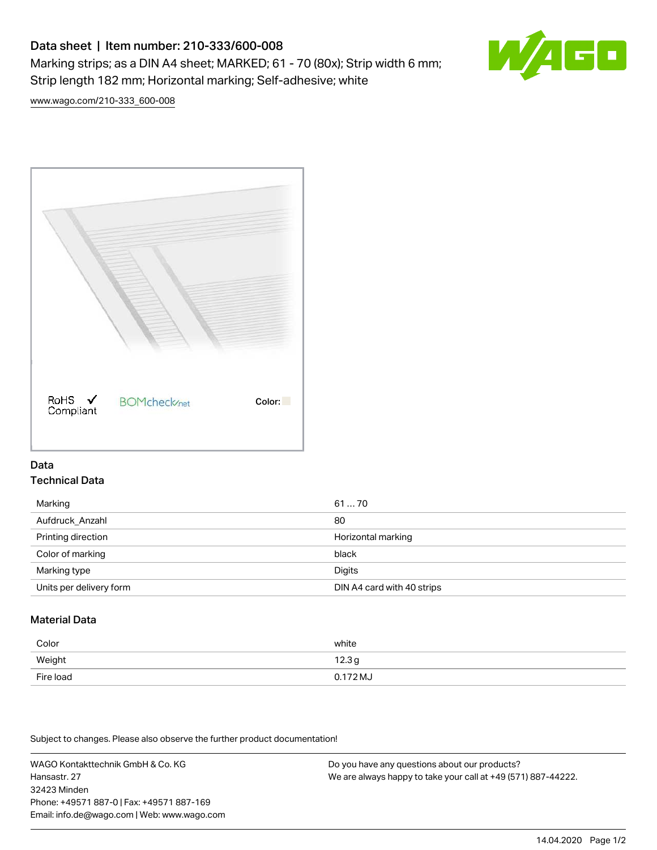# Data sheet | Item number: 210-333/600-008 Marking strips; as a DIN A4 sheet; MARKED; 61 - 70 (80x); Strip width 6 mm; Strip length 182 mm; Horizontal marking; Self-adhesive; white



[www.wago.com/210-333\\_600-008](http://www.wago.com/210-333_600-008)



### Data Technical Data

| Marking                 | 6170                       |
|-------------------------|----------------------------|
| Aufdruck Anzahl         | 80                         |
| Printing direction      | Horizontal marking         |
| Color of marking        | black                      |
| Marking type            | Digits                     |
| Units per delivery form | DIN A4 card with 40 strips |

## Material Data

| Color     | white               |
|-----------|---------------------|
| Weight    | 12.3g               |
| Fire load | $0.172 \mathrm{MJ}$ |

Subject to changes. Please also observe the further product documentation!

WAGO Kontakttechnik GmbH & Co. KG Hansastr. 27 32423 Minden Phone: +49571 887-0 | Fax: +49571 887-169 Email: info.de@wago.com | Web: www.wago.com Do you have any questions about our products? We are always happy to take your call at +49 (571) 887-44222.